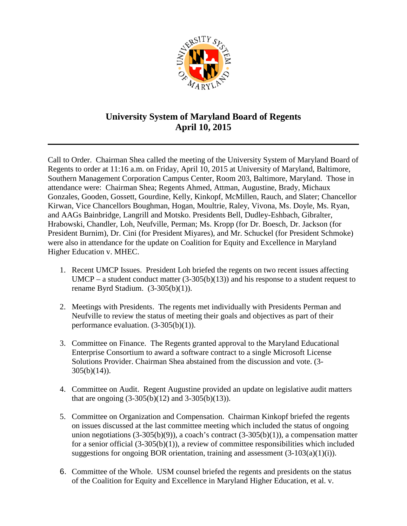

## **University System of Maryland Board of Regents April 10, 2015**

Call to Order. Chairman Shea called the meeting of the University System of Maryland Board of Regents to order at 11:16 a.m. on Friday, April 10, 2015 at University of Maryland, Baltimore, Southern Management Corporation Campus Center, Room 203, Baltimore, Maryland. Those in attendance were: Chairman Shea; Regents Ahmed, Attman, Augustine, Brady, Michaux Gonzales, Gooden, Gossett, Gourdine, Kelly, Kinkopf, McMillen, Rauch, and Slater; Chancellor Kirwan, Vice Chancellors Boughman, Hogan, Moultrie, Raley, Vivona, Ms. Doyle, Ms. Ryan, and AAGs Bainbridge, Langrill and Motsko. Presidents Bell, Dudley-Eshbach, Gibralter, Hrabowski, Chandler, Loh, Neufville, Perman; Ms. Kropp (for Dr. Boesch, Dr. Jackson (for President Burnim), Dr. Cini (for President Miyares), and Mr. Schuckel (for President Schmoke) were also in attendance for the update on Coalition for Equity and Excellence in Maryland Higher Education v. MHEC.

- 1. Recent UMCP Issues. President Loh briefed the regents on two recent issues affecting UMCP – a student conduct matter  $(3-305(b)(13))$  and his response to a student request to rename Byrd Stadium. (3-305(b)(1)).
- 2. Meetings with Presidents. The regents met individually with Presidents Perman and Neufville to review the status of meeting their goals and objectives as part of their performance evaluation. (3-305(b)(1)).
- 3. Committee on Finance. The Regents granted approval to the Maryland Educational Enterprise Consortium to award a software contract to a single Microsoft License Solutions Provider. Chairman Shea abstained from the discussion and vote. (3-  $305(b)(14)$ ).
- 4. Committee on Audit. Regent Augustine provided an update on legislative audit matters that are ongoing  $(3-305(b)(12)$  and  $3-305(b)(13)$ ).
- 5. Committee on Organization and Compensation. Chairman Kinkopf briefed the regents on issues discussed at the last committee meeting which included the status of ongoing union negotiations  $(3-305(b)(9))$ , a coach's contract  $(3-305(b)(1))$ , a compensation matter for a senior official (3-305(b)(1)), a review of committee responsibilities which included suggestions for ongoing BOR orientation, training and assessment  $(3-103(a)(1)(i))$ .
- 6. Committee of the Whole. USM counsel briefed the regents and presidents on the status of the Coalition for Equity and Excellence in Maryland Higher Education, et al. v.